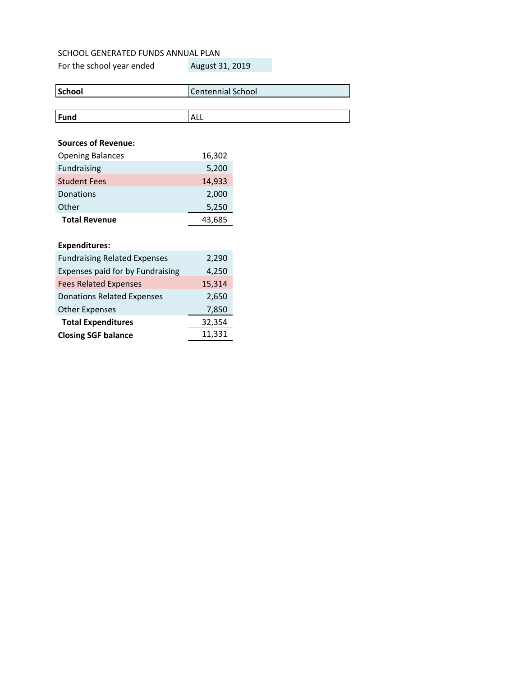| School | Centennial School |
|--------|-------------------|
|        |                   |
| Fund   | <b>ALL</b>        |

# **Sources of Revenue:**

| <b>Opening Balances</b> | 16,302 |
|-------------------------|--------|
| Fundraising             | 5,200  |
| <b>Student Fees</b>     | 14,933 |
| Donations               | 2,000  |
| Other                   | 5,250  |
| <b>Total Revenue</b>    | 43.685 |

# **Expenditures:**

| <b>Fundraising Related Expenses</b> | 2,290  |
|-------------------------------------|--------|
| Expenses paid for by Fundraising    | 4,250  |
| <b>Fees Related Expenses</b>        | 15,314 |
| <b>Donations Related Expenses</b>   | 2,650  |
| <b>Other Expenses</b>               | 7,850  |
| <b>Total Expenditures</b>           | 32,354 |
| <b>Closing SGF balance</b>          | 11,331 |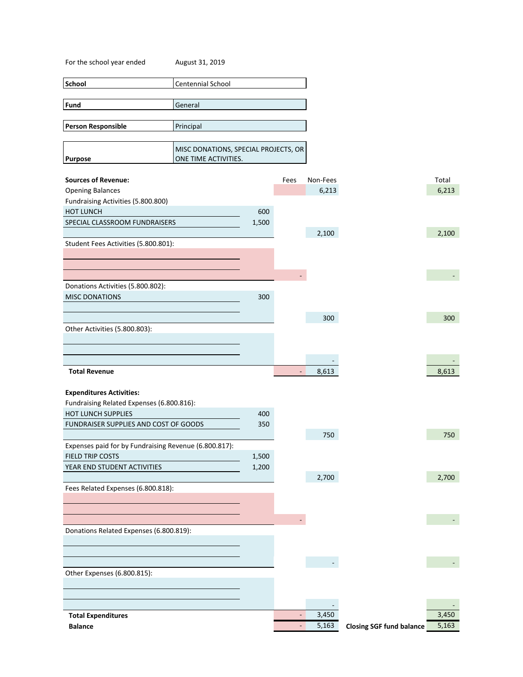| For the school year ended                                  | August 31, 2019                                              |       |                          |          |                                 |       |
|------------------------------------------------------------|--------------------------------------------------------------|-------|--------------------------|----------|---------------------------------|-------|
| School                                                     | Centennial School                                            |       |                          |          |                                 |       |
|                                                            |                                                              |       |                          |          |                                 |       |
| Fund                                                       | General                                                      |       |                          |          |                                 |       |
|                                                            |                                                              |       |                          |          |                                 |       |
| <b>Person Responsible</b>                                  | Principal                                                    |       |                          |          |                                 |       |
|                                                            |                                                              |       |                          |          |                                 |       |
| <b>Purpose</b>                                             | MISC DONATIONS, SPECIAL PROJECTS, OR<br>ONE TIME ACTIVITIES. |       |                          |          |                                 |       |
|                                                            |                                                              |       |                          |          |                                 |       |
| <b>Sources of Revenue:</b>                                 |                                                              |       | Fees                     | Non-Fees |                                 | Total |
| <b>Opening Balances</b>                                    |                                                              |       |                          | 6,213    |                                 | 6,213 |
| Fundraising Activities (5.800.800)                         |                                                              |       |                          |          |                                 |       |
| <b>HOT LUNCH</b>                                           |                                                              | 600   |                          |          |                                 |       |
| SPECIAL CLASSROOM FUNDRAISERS                              |                                                              | 1,500 |                          |          |                                 |       |
|                                                            |                                                              |       |                          | 2,100    |                                 | 2,100 |
| Student Fees Activities (5.800.801):                       |                                                              |       |                          |          |                                 |       |
|                                                            |                                                              |       |                          |          |                                 |       |
|                                                            |                                                              |       |                          |          |                                 |       |
|                                                            |                                                              |       | ÷.                       |          |                                 |       |
| Donations Activities (5.800.802):<br><b>MISC DONATIONS</b> |                                                              | 300   |                          |          |                                 |       |
|                                                            |                                                              |       |                          |          |                                 |       |
|                                                            |                                                              |       |                          | 300      |                                 | 300   |
| Other Activities (5.800.803):                              |                                                              |       |                          |          |                                 |       |
|                                                            |                                                              |       |                          |          |                                 |       |
|                                                            |                                                              |       |                          |          |                                 |       |
|                                                            |                                                              |       |                          |          |                                 |       |
| <b>Total Revenue</b>                                       |                                                              |       | -                        | 8,613    |                                 | 8,613 |
|                                                            |                                                              |       |                          |          |                                 |       |
| <b>Expenditures Activities:</b>                            |                                                              |       |                          |          |                                 |       |
| Fundraising Related Expenses (6.800.816):                  |                                                              |       |                          |          |                                 |       |
| HOT LUNCH SUPPLIES                                         |                                                              | 400   |                          |          |                                 |       |
| FUNDRAISER SUPPLIES AND COST OF GOODS                      |                                                              | 350   |                          | 750      |                                 | 750   |
| Expenses paid for by Fundraising Revenue (6.800.817):      |                                                              |       |                          |          |                                 |       |
| FIELD TRIP COSTS                                           |                                                              | 1,500 |                          |          |                                 |       |
| YEAR END STUDENT ACTIVITIES                                |                                                              | 1,200 |                          |          |                                 |       |
|                                                            |                                                              |       |                          | 2,700    |                                 | 2,700 |
| Fees Related Expenses (6.800.818):                         |                                                              |       |                          |          |                                 |       |
|                                                            |                                                              |       |                          |          |                                 |       |
|                                                            |                                                              |       |                          |          |                                 |       |
|                                                            |                                                              |       |                          |          |                                 |       |
| Donations Related Expenses (6.800.819):                    |                                                              |       |                          |          |                                 |       |
|                                                            |                                                              |       |                          |          |                                 |       |
|                                                            |                                                              |       |                          |          |                                 |       |
|                                                            |                                                              |       |                          |          |                                 |       |
| Other Expenses (6.800.815):                                |                                                              |       |                          |          |                                 |       |
|                                                            |                                                              |       |                          |          |                                 |       |
|                                                            |                                                              |       |                          |          |                                 |       |
| <b>Total Expenditures</b>                                  |                                                              |       | $\overline{\phantom{a}}$ | 3,450    |                                 | 3,450 |
| <b>Balance</b>                                             |                                                              |       | ۳                        | 5,163    | <b>Closing SGF fund balance</b> | 5,163 |
|                                                            |                                                              |       |                          |          |                                 |       |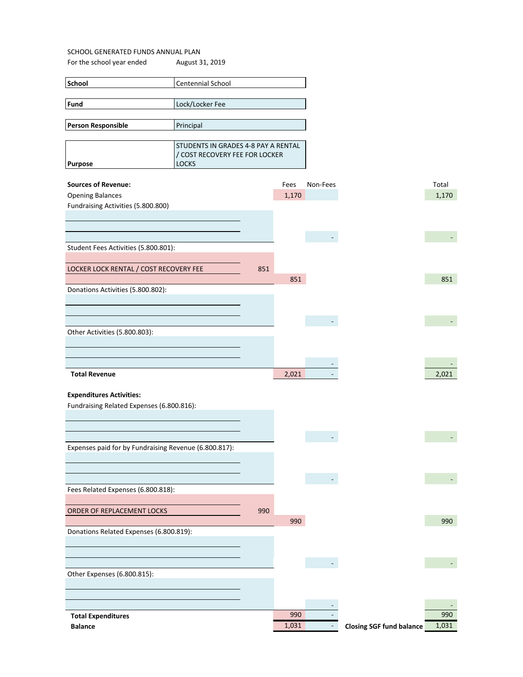For the school year ended August 31, 2019

| <b>School</b>                      | <b>Centennial School</b>            |      |          |       |
|------------------------------------|-------------------------------------|------|----------|-------|
|                                    |                                     |      |          |       |
| Fund                               | Lock/Locker Fee                     |      |          |       |
| Person Responsible                 | Principal                           |      |          |       |
|                                    |                                     |      |          |       |
|                                    | STUDENTS IN GRADES 4-8 PAY A RENTAL |      |          |       |
|                                    | / COST RECOVERY FEE FOR LOCKER      |      |          |       |
| <b>Purpose</b>                     | <b>LOCKS</b>                        |      |          |       |
|                                    |                                     |      |          |       |
| <b>Sources of Revenue:</b>         |                                     | Fees | Non-Fees | Total |
| <b>Opening Balances</b>            |                                     |      | 1,170    |       |
| Fundraising Activities (5.800.800) |                                     |      |          |       |
|                                    |                                     |      |          |       |

| Student Fees Activities (5.800.801):   |     |       |  |
|----------------------------------------|-----|-------|--|
|                                        |     |       |  |
|                                        |     |       |  |
| LOCKER LOCK RENTAL / COST RECOVERY FEE | 851 |       |  |
|                                        |     | 851   |  |
| Donations Activities (5.800.802):      |     |       |  |
|                                        |     |       |  |
|                                        |     |       |  |
|                                        |     |       |  |
|                                        |     |       |  |
| Other Activities (5.800.803):          |     |       |  |
|                                        |     |       |  |
|                                        |     |       |  |
|                                        |     |       |  |
| <b>Total Revenue</b>                   |     | 2,021 |  |

### **Expenditures Activities:**

Fundraising Related Expenses (6.800.816):

| Expenses paid for by Fundraising Revenue (6.800.817): |     |       |  |
|-------------------------------------------------------|-----|-------|--|
|                                                       |     |       |  |
|                                                       |     |       |  |
|                                                       |     |       |  |
| Fees Related Expenses (6.800.818):                    |     |       |  |
|                                                       |     |       |  |
|                                                       |     |       |  |
| ORDER OF REPLACEMENT LOCKS                            | 990 |       |  |
|                                                       |     | 990   |  |
| Donations Related Expenses (6.800.819):               |     |       |  |
|                                                       |     |       |  |
|                                                       |     |       |  |
|                                                       |     |       |  |
|                                                       |     |       |  |
| Other Expenses (6.800.815):                           |     |       |  |
|                                                       |     |       |  |
|                                                       |     |       |  |
|                                                       |     |       |  |
|                                                       |     |       |  |
| <b>Total Expenditures</b>                             |     | 990   |  |
|                                                       |     |       |  |
| <b>Balance</b>                                        |     | 1,031 |  |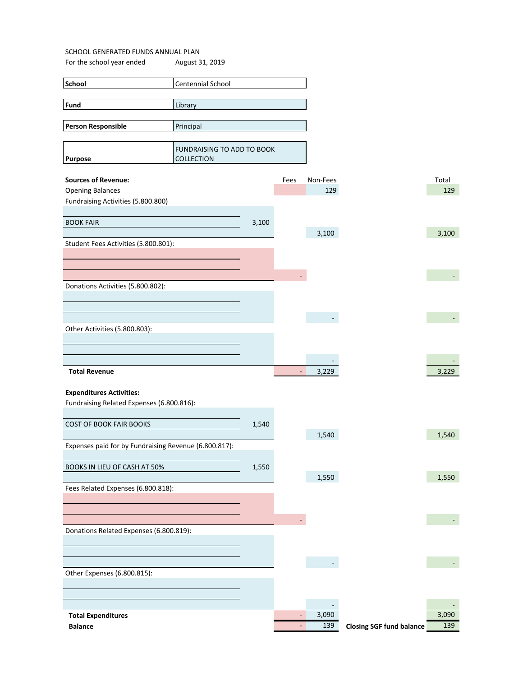| <b>School</b>                                         | Centennial School                        |       |                          |          |                                 |       |
|-------------------------------------------------------|------------------------------------------|-------|--------------------------|----------|---------------------------------|-------|
| Fund                                                  | Library                                  |       |                          |          |                                 |       |
|                                                       |                                          |       |                          |          |                                 |       |
| <b>Person Responsible</b>                             | Principal                                |       |                          |          |                                 |       |
| <b>Purpose</b>                                        | FUNDRAISING TO ADD TO BOOK<br>COLLECTION |       |                          |          |                                 |       |
| <b>Sources of Revenue:</b>                            |                                          |       | Fees                     | Non-Fees |                                 | Total |
| <b>Opening Balances</b>                               |                                          |       |                          | 129      |                                 | 129   |
| Fundraising Activities (5.800.800)                    |                                          |       |                          |          |                                 |       |
| <b>BOOK FAIR</b>                                      |                                          | 3,100 |                          |          |                                 |       |
|                                                       |                                          |       |                          | 3,100    |                                 | 3,100 |
| Student Fees Activities (5.800.801):                  |                                          |       |                          |          |                                 |       |
|                                                       |                                          |       |                          |          |                                 |       |
|                                                       |                                          |       |                          |          |                                 |       |
| Donations Activities (5.800.802):                     |                                          |       |                          |          |                                 |       |
|                                                       |                                          |       |                          |          |                                 |       |
| Other Activities (5.800.803):                         |                                          |       |                          |          |                                 |       |
|                                                       |                                          |       |                          |          |                                 |       |
|                                                       |                                          |       |                          |          |                                 |       |
| <b>Total Revenue</b>                                  |                                          |       | $\overline{\phantom{a}}$ | 3,229    |                                 | 3,229 |
| <b>Expenditures Activities:</b>                       |                                          |       |                          |          |                                 |       |
| Fundraising Related Expenses (6.800.816):             |                                          |       |                          |          |                                 |       |
|                                                       |                                          |       |                          |          |                                 |       |
| <b>COST OF BOOK FAIR BOOKS</b>                        |                                          | 1,540 |                          | 1,540    |                                 | 1,540 |
| Expenses paid for by Fundraising Revenue (6.800.817): |                                          |       |                          |          |                                 |       |
|                                                       |                                          |       |                          |          |                                 |       |
| BOOKS IN LIEU OF CASH AT 50%                          |                                          | 1,550 |                          | 1,550    |                                 | 1,550 |
| Fees Related Expenses (6.800.818):                    |                                          |       |                          |          |                                 |       |
|                                                       |                                          |       |                          |          |                                 |       |
|                                                       |                                          |       |                          |          |                                 |       |
| Donations Related Expenses (6.800.819):               |                                          |       |                          |          |                                 |       |
|                                                       |                                          |       |                          |          |                                 |       |
|                                                       |                                          |       |                          |          |                                 |       |
| Other Expenses (6.800.815):                           |                                          |       |                          |          |                                 |       |
|                                                       |                                          |       |                          |          |                                 |       |
|                                                       |                                          |       | ÷,                       | 3,090    |                                 | 3,090 |
| <b>Total Expenditures</b><br><b>Balance</b>           |                                          |       | $\overline{\phantom{a}}$ | 139      | <b>Closing SGF fund balance</b> | 139   |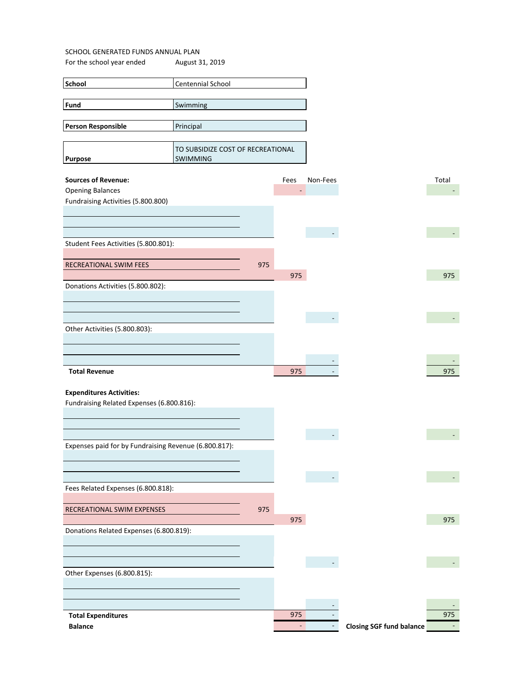| Fund<br>Swimming<br><b>Person Responsible</b><br>Principal      |       |
|-----------------------------------------------------------------|-------|
|                                                                 |       |
|                                                                 |       |
|                                                                 |       |
|                                                                 |       |
|                                                                 |       |
| TO SUBSIDIZE COST OF RECREATIONAL<br>SWIMMING<br><b>Purpose</b> |       |
|                                                                 |       |
| <b>Sources of Revenue:</b><br>Fees<br>Non-Fees                  | Total |
| <b>Opening Balances</b>                                         |       |
| Fundraising Activities (5.800.800)                              |       |
|                                                                 |       |
|                                                                 |       |
|                                                                 |       |
| Student Fees Activities (5.800.801):                            |       |
|                                                                 |       |
| RECREATIONAL SWIM FEES<br>975                                   |       |
| 975                                                             | 975   |
| Donations Activities (5.800.802):                               |       |
|                                                                 |       |
|                                                                 |       |
|                                                                 |       |
| Other Activities (5.800.803):                                   |       |
|                                                                 |       |
|                                                                 |       |
|                                                                 |       |
| <b>Total Revenue</b><br>975                                     | 975   |
|                                                                 |       |
|                                                                 |       |
| <b>Expenditures Activities:</b>                                 |       |
| Fundraising Related Expenses (6.800.816):                       |       |
|                                                                 |       |
|                                                                 |       |
|                                                                 |       |
| Expenses paid for by Fundraising Revenue (6.800.817):           |       |
|                                                                 |       |
|                                                                 |       |
|                                                                 |       |
| Fees Related Expenses (6.800.818):                              |       |
|                                                                 |       |
| 975<br>RECREATIONAL SWIM EXPENSES                               |       |
| 975                                                             | 975   |
|                                                                 |       |
| Donations Related Expenses (6.800.819):                         |       |
|                                                                 |       |
|                                                                 |       |
|                                                                 |       |
| Other Expenses (6.800.815):                                     |       |
|                                                                 |       |
|                                                                 |       |
| 975<br><b>Total Expenditures</b>                                | 975   |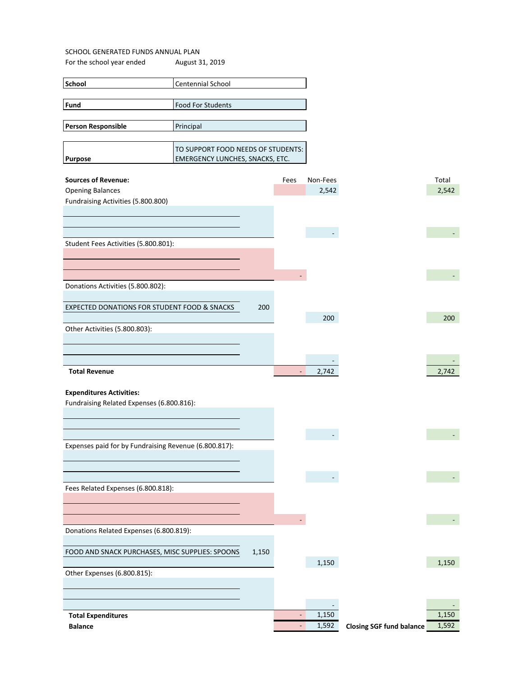| School                    | Centennial School                      |  |  |  |  |  |
|---------------------------|----------------------------------------|--|--|--|--|--|
|                           |                                        |  |  |  |  |  |
| <b>Fund</b>               | <b>Food For Students</b>               |  |  |  |  |  |
|                           |                                        |  |  |  |  |  |
| <b>Person Responsible</b> | Principal                              |  |  |  |  |  |
|                           |                                        |  |  |  |  |  |
|                           | TO SUPPORT FOOD NEEDS OF STUDENTS:     |  |  |  |  |  |
| <b>Purpose</b>            | <b>EMERGENCY LUNCHES, SNACKS, ETC.</b> |  |  |  |  |  |

| <b>Sources of Revenue:</b>                            |       | Fees                         | Non-Fees |                                 | Total |
|-------------------------------------------------------|-------|------------------------------|----------|---------------------------------|-------|
| <b>Opening Balances</b>                               |       |                              | 2,542    |                                 | 2,542 |
| Fundraising Activities (5.800.800)                    |       |                              |          |                                 |       |
|                                                       |       |                              |          |                                 |       |
|                                                       |       |                              |          |                                 |       |
|                                                       |       |                              | $\sim$   |                                 |       |
| Student Fees Activities (5.800.801):                  |       |                              |          |                                 |       |
|                                                       |       |                              |          |                                 |       |
|                                                       |       |                              |          |                                 |       |
|                                                       |       |                              |          |                                 |       |
| Donations Activities (5.800.802):                     |       |                              |          |                                 |       |
|                                                       |       |                              |          |                                 |       |
| EXPECTED DONATIONS FOR STUDENT FOOD & SNACKS          | 200   |                              |          |                                 |       |
|                                                       |       |                              | 200      |                                 | 200   |
| Other Activities (5.800.803):                         |       |                              |          |                                 |       |
|                                                       |       |                              |          |                                 |       |
|                                                       |       |                              |          |                                 |       |
|                                                       |       |                              |          |                                 |       |
| <b>Total Revenue</b>                                  |       | $\blacksquare$               | 2,742    |                                 | 2,742 |
|                                                       |       |                              |          |                                 |       |
| <b>Expenditures Activities:</b>                       |       |                              |          |                                 |       |
| Fundraising Related Expenses (6.800.816):             |       |                              |          |                                 |       |
|                                                       |       |                              |          |                                 |       |
|                                                       |       |                              |          |                                 |       |
|                                                       |       |                              |          |                                 |       |
| Expenses paid for by Fundraising Revenue (6.800.817): |       |                              |          |                                 |       |
|                                                       |       |                              |          |                                 |       |
|                                                       |       |                              |          |                                 |       |
|                                                       |       |                              |          |                                 |       |
| Fees Related Expenses (6.800.818):                    |       |                              |          |                                 |       |
|                                                       |       |                              |          |                                 |       |
|                                                       |       |                              |          |                                 |       |
|                                                       |       |                              |          |                                 |       |
| Donations Related Expenses (6.800.819):               |       |                              |          |                                 |       |
|                                                       |       |                              |          |                                 |       |
| FOOD AND SNACK PURCHASES, MISC SUPPLIES: SPOONS       | 1,150 |                              |          |                                 |       |
|                                                       |       |                              | 1,150    |                                 | 1,150 |
| Other Expenses (6.800.815):                           |       |                              |          |                                 |       |
|                                                       |       |                              |          |                                 |       |
|                                                       |       |                              |          |                                 |       |
|                                                       |       |                              |          |                                 |       |
| <b>Total Expenditures</b>                             |       |                              | 1,150    |                                 | 1,150 |
| <b>Balance</b>                                        |       | $\qquad \qquad \blacksquare$ | 1,592    | <b>Closing SGF fund balance</b> | 1,592 |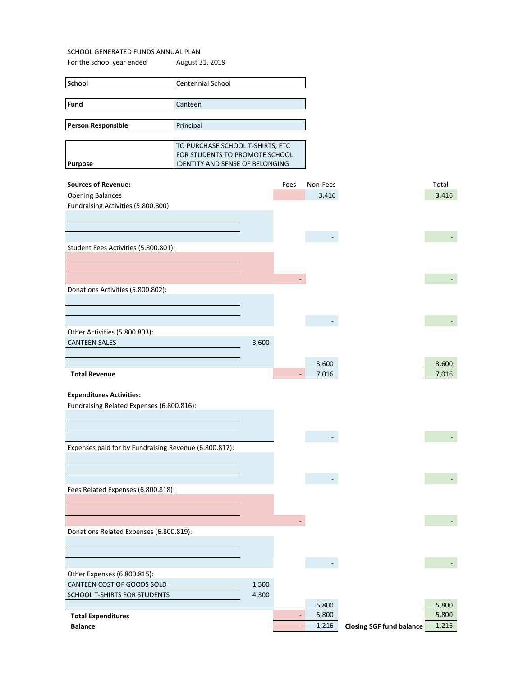| <b>School</b>             | <b>Centennial School</b>               |
|---------------------------|----------------------------------------|
|                           |                                        |
| <b>Fund</b>               | Canteen                                |
|                           |                                        |
| <b>Person Responsible</b> | Principal                              |
|                           |                                        |
|                           | TO PURCHASE SCHOOL T-SHIRTS, ETC       |
|                           | FOR STUDENTS TO PROMOTE SCHOOL         |
| <b>Purpose</b>            | <b>IDENTITY AND SENSE OF BELONGING</b> |

| <b>Sources of Revenue:</b>                            |       | Fees                     | Non-Fees |                                 | Total |
|-------------------------------------------------------|-------|--------------------------|----------|---------------------------------|-------|
| <b>Opening Balances</b>                               |       |                          | 3,416    |                                 | 3,416 |
| Fundraising Activities (5.800.800)                    |       |                          |          |                                 |       |
|                                                       |       |                          |          |                                 |       |
|                                                       |       |                          |          |                                 |       |
|                                                       |       |                          |          |                                 |       |
| Student Fees Activities (5.800.801):                  |       |                          |          |                                 |       |
|                                                       |       |                          |          |                                 |       |
|                                                       |       |                          |          |                                 |       |
|                                                       |       |                          |          |                                 |       |
|                                                       |       |                          |          |                                 |       |
| Donations Activities (5.800.802):                     |       |                          |          |                                 |       |
|                                                       |       |                          |          |                                 |       |
|                                                       |       |                          |          |                                 |       |
|                                                       |       |                          |          |                                 |       |
| Other Activities (5.800.803):                         |       |                          |          |                                 |       |
| <b>CANTEEN SALES</b>                                  | 3,600 |                          |          |                                 |       |
|                                                       |       |                          |          |                                 |       |
|                                                       |       |                          | 3,600    |                                 | 3,600 |
| <b>Total Revenue</b>                                  |       | $\overline{\phantom{a}}$ | 7,016    |                                 | 7,016 |
|                                                       |       |                          |          |                                 |       |
| <b>Expenditures Activities:</b>                       |       |                          |          |                                 |       |
| Fundraising Related Expenses (6.800.816):             |       |                          |          |                                 |       |
|                                                       |       |                          |          |                                 |       |
|                                                       |       |                          |          |                                 |       |
|                                                       |       |                          |          |                                 |       |
| Expenses paid for by Fundraising Revenue (6.800.817): |       |                          |          |                                 |       |
|                                                       |       |                          |          |                                 |       |
|                                                       |       |                          |          |                                 |       |
|                                                       |       |                          |          |                                 |       |
| Fees Related Expenses (6.800.818):                    |       |                          |          |                                 |       |
|                                                       |       |                          |          |                                 |       |
|                                                       |       |                          |          |                                 |       |
|                                                       |       |                          |          |                                 |       |
|                                                       |       |                          |          |                                 |       |
| Donations Related Expenses (6.800.819):               |       |                          |          |                                 |       |
|                                                       |       |                          |          |                                 |       |
|                                                       |       |                          |          |                                 |       |
|                                                       |       |                          |          |                                 |       |
| Other Expenses (6.800.815):                           |       |                          |          |                                 |       |
| CANTEEN COST OF GOODS SOLD                            | 1,500 |                          |          |                                 |       |
| SCHOOL T-SHIRTS FOR STUDENTS                          | 4,300 |                          |          |                                 |       |
|                                                       |       |                          | 5,800    |                                 | 5,800 |
| <b>Total Expenditures</b>                             |       | $\overline{\phantom{a}}$ | 5,800    |                                 | 5,800 |
| <b>Balance</b>                                        |       | $\omega_{\rm c}$         | 1,216    | <b>Closing SGF fund balance</b> | 1,216 |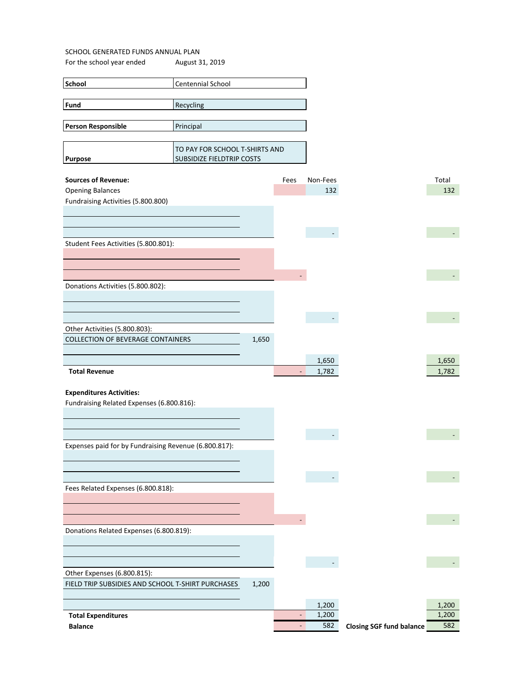For the school year ended August 31, 2019

| TUI LIIC SUNUUI YEAT ENUEU               | August 31, 2013                                             |       |                          |          |  |       |
|------------------------------------------|-------------------------------------------------------------|-------|--------------------------|----------|--|-------|
| School                                   | Centennial School                                           |       |                          |          |  |       |
|                                          |                                                             |       |                          |          |  |       |
| Fund                                     | Recycling                                                   |       |                          |          |  |       |
| Person Responsible                       | Principal                                                   |       |                          |          |  |       |
|                                          |                                                             |       |                          |          |  |       |
| <b>Purpose</b>                           | TO PAY FOR SCHOOL T-SHIRTS AND<br>SUBSIDIZE FIELDTRIP COSTS |       |                          |          |  |       |
| <b>Sources of Revenue:</b>               |                                                             |       | Fees                     | Non-Fees |  | Total |
| <b>Opening Balances</b>                  |                                                             |       |                          | 132      |  | 132   |
| Fundraising Activities (5.800.800)       |                                                             |       |                          |          |  |       |
|                                          |                                                             |       |                          |          |  |       |
|                                          |                                                             |       |                          |          |  |       |
| Student Fees Activities (5.800.801):     |                                                             |       |                          |          |  |       |
|                                          |                                                             |       |                          |          |  |       |
|                                          |                                                             |       |                          |          |  |       |
|                                          |                                                             |       |                          |          |  |       |
| Donations Activities (5.800.802):        |                                                             |       |                          |          |  |       |
|                                          |                                                             |       |                          |          |  |       |
|                                          |                                                             |       |                          |          |  |       |
| Other Activities (5.800.803):            |                                                             |       |                          |          |  |       |
| <b>COLLECTION OF BEVERAGE CONTAINERS</b> |                                                             | 1,650 |                          |          |  |       |
|                                          |                                                             |       |                          | 1,650    |  | 1,650 |
| <b>Total Revenue</b>                     |                                                             |       | $\overline{\phantom{a}}$ | 1,782    |  | 1,782 |
|                                          |                                                             |       |                          |          |  |       |
| <b>Expenditures Activities:</b>          |                                                             |       |                          |          |  |       |

 $(\cdot,\cdot)$ 

Fundraising Related Expenses (6.800.816):

| Expenses paid for by Fundraising Revenue (6.800.817): |       |       |                                 |  |
|-------------------------------------------------------|-------|-------|---------------------------------|--|
|                                                       |       |       |                                 |  |
|                                                       |       |       |                                 |  |
|                                                       |       |       |                                 |  |
| Fees Related Expenses (6.800.818):                    |       |       |                                 |  |
|                                                       |       |       |                                 |  |
|                                                       |       |       |                                 |  |
|                                                       |       |       |                                 |  |
| Donations Related Expenses (6.800.819):               |       |       |                                 |  |
|                                                       |       |       |                                 |  |
|                                                       |       |       |                                 |  |
| Other Expenses (6.800.815):                           |       |       |                                 |  |
| FIELD TRIP SUBSIDIES AND SCHOOL T-SHIRT PURCHASES     | 1,200 |       |                                 |  |
|                                                       |       |       |                                 |  |
|                                                       |       | 1,200 |                                 |  |
| <b>Total Expenditures</b>                             |       | 1,200 |                                 |  |
| <b>Balance</b>                                        |       | 582   | <b>Closing SGF fund balance</b> |  |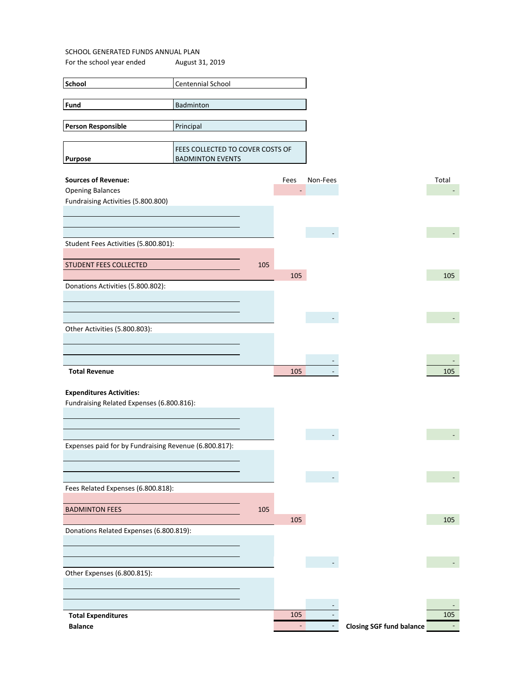| School                                                | Centennial School                |     |                |                          |                                 |       |
|-------------------------------------------------------|----------------------------------|-----|----------------|--------------------------|---------------------------------|-------|
| Fund                                                  |                                  |     |                |                          |                                 |       |
|                                                       | Badminton                        |     |                |                          |                                 |       |
|                                                       |                                  |     |                |                          |                                 |       |
| Person Responsible                                    | Principal                        |     |                |                          |                                 |       |
|                                                       |                                  |     |                |                          |                                 |       |
|                                                       | FEES COLLECTED TO COVER COSTS OF |     |                |                          |                                 |       |
| <b>Purpose</b>                                        | <b>BADMINTON EVENTS</b>          |     |                |                          |                                 |       |
| <b>Sources of Revenue:</b>                            |                                  |     | Fees           | Non-Fees                 |                                 | Total |
| <b>Opening Balances</b>                               |                                  |     | $\blacksquare$ |                          |                                 |       |
| Fundraising Activities (5.800.800)                    |                                  |     |                |                          |                                 |       |
|                                                       |                                  |     |                |                          |                                 |       |
|                                                       |                                  |     |                |                          |                                 |       |
|                                                       |                                  |     |                | $\overline{\phantom{a}}$ |                                 |       |
| Student Fees Activities (5.800.801):                  |                                  |     |                |                          |                                 |       |
|                                                       |                                  |     |                |                          |                                 |       |
| STUDENT FEES COLLECTED                                |                                  | 105 |                |                          |                                 |       |
|                                                       |                                  |     | 105            |                          |                                 | 105   |
| Donations Activities (5.800.802):                     |                                  |     |                |                          |                                 |       |
|                                                       |                                  |     |                |                          |                                 |       |
|                                                       |                                  |     |                |                          |                                 |       |
|                                                       |                                  |     |                |                          |                                 |       |
| Other Activities (5.800.803):                         |                                  |     |                |                          |                                 |       |
|                                                       |                                  |     |                |                          |                                 |       |
|                                                       |                                  |     |                |                          |                                 |       |
|                                                       |                                  |     |                |                          |                                 |       |
| <b>Total Revenue</b>                                  |                                  |     | 105            |                          |                                 | 105   |
|                                                       |                                  |     |                |                          |                                 |       |
| <b>Expenditures Activities:</b>                       |                                  |     |                |                          |                                 |       |
| Fundraising Related Expenses (6.800.816):             |                                  |     |                |                          |                                 |       |
|                                                       |                                  |     |                |                          |                                 |       |
|                                                       |                                  |     |                |                          |                                 |       |
|                                                       |                                  |     |                |                          |                                 |       |
| Expenses paid for by Fundraising Revenue (6.800.817): |                                  |     |                |                          |                                 |       |
|                                                       |                                  |     |                |                          |                                 |       |
|                                                       |                                  |     |                |                          |                                 |       |
|                                                       |                                  |     |                |                          |                                 |       |
| Fees Related Expenses (6.800.818):                    |                                  |     |                |                          |                                 |       |
|                                                       |                                  |     |                |                          |                                 |       |
| <b>BADMINTON FEES</b>                                 |                                  | 105 |                |                          |                                 |       |
|                                                       |                                  |     | 105            |                          |                                 | 105   |
| Donations Related Expenses (6.800.819):               |                                  |     |                |                          |                                 |       |
|                                                       |                                  |     |                |                          |                                 |       |
|                                                       |                                  |     |                |                          |                                 |       |
|                                                       |                                  |     |                |                          |                                 |       |
| Other Expenses (6.800.815):                           |                                  |     |                |                          |                                 |       |
|                                                       |                                  |     |                |                          |                                 |       |
|                                                       |                                  |     |                |                          |                                 |       |
|                                                       |                                  |     |                |                          |                                 |       |
| <b>Total Expenditures</b>                             |                                  |     | 105            |                          |                                 | 105   |
| <b>Balance</b>                                        |                                  |     | $\omega$       |                          | <b>Closing SGF fund balance</b> |       |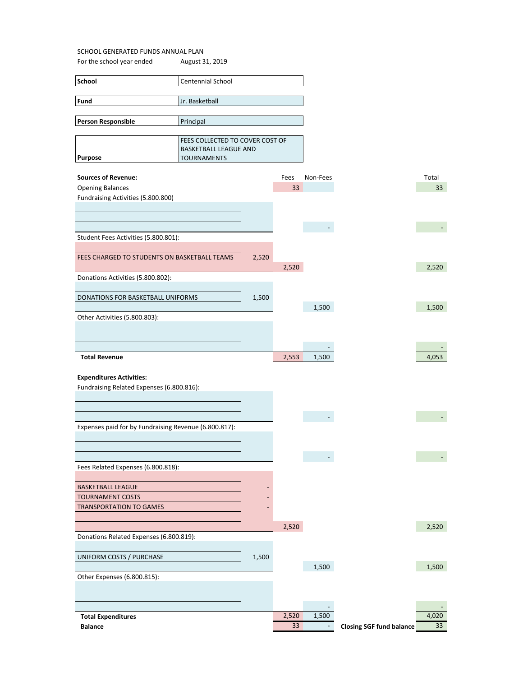| <b>School</b>             | Centennial School               |
|---------------------------|---------------------------------|
|                           |                                 |
| Fund                      | Jr. Basketball                  |
|                           |                                 |
| <b>Person Responsible</b> | Principal                       |
|                           |                                 |
|                           | FEES COLLECTED TO COVER COST OF |

| <b>Sources of Revenue:</b>                            |       | Fees  | Non-Fees |                                 | Total |
|-------------------------------------------------------|-------|-------|----------|---------------------------------|-------|
| <b>Opening Balances</b>                               |       | 33    |          |                                 | 33    |
| Fundraising Activities (5.800.800)                    |       |       |          |                                 |       |
|                                                       |       |       |          |                                 |       |
|                                                       |       |       |          |                                 |       |
|                                                       |       |       |          |                                 |       |
| Student Fees Activities (5.800.801):                  |       |       |          |                                 |       |
|                                                       |       |       |          |                                 |       |
|                                                       |       |       |          |                                 |       |
| FEES CHARGED TO STUDENTS ON BASKETBALL TEAMS          | 2,520 |       |          |                                 |       |
|                                                       |       | 2,520 |          |                                 | 2,520 |
| Donations Activities (5.800.802):                     |       |       |          |                                 |       |
|                                                       |       |       |          |                                 |       |
| DONATIONS FOR BASKETBALL UNIFORMS                     | 1,500 |       |          |                                 |       |
|                                                       |       |       | 1,500    |                                 | 1,500 |
| Other Activities (5.800.803):                         |       |       |          |                                 |       |
|                                                       |       |       |          |                                 |       |
|                                                       |       |       |          |                                 |       |
|                                                       |       |       |          |                                 |       |
|                                                       |       |       |          |                                 |       |
| <b>Total Revenue</b>                                  |       | 2,553 | 1,500    |                                 | 4,053 |
|                                                       |       |       |          |                                 |       |
| <b>Expenditures Activities:</b>                       |       |       |          |                                 |       |
| Fundraising Related Expenses (6.800.816):             |       |       |          |                                 |       |
|                                                       |       |       |          |                                 |       |
|                                                       |       |       |          |                                 |       |
|                                                       |       |       |          |                                 |       |
| Expenses paid for by Fundraising Revenue (6.800.817): |       |       |          |                                 |       |
|                                                       |       |       |          |                                 |       |
|                                                       |       |       |          |                                 |       |
|                                                       |       |       |          |                                 |       |
| Fees Related Expenses (6.800.818):                    |       |       |          |                                 |       |
|                                                       |       |       |          |                                 |       |
|                                                       |       |       |          |                                 |       |
| <b>BASKETBALL LEAGUE</b>                              |       |       |          |                                 |       |
| <b>TOURNAMENT COSTS</b>                               |       |       |          |                                 |       |
| <b>TRANSPORTATION TO GAMES</b>                        |       |       |          |                                 |       |
|                                                       |       |       |          |                                 |       |
|                                                       |       | 2,520 |          |                                 | 2,520 |
| Donations Related Expenses (6.800.819):               |       |       |          |                                 |       |
|                                                       |       |       |          |                                 |       |
| UNIFORM COSTS / PURCHASE                              | 1,500 |       |          |                                 |       |
|                                                       |       |       | 1,500    |                                 | 1,500 |
| Other Expenses (6.800.815):                           |       |       |          |                                 |       |
|                                                       |       |       |          |                                 |       |
|                                                       |       |       |          |                                 |       |
|                                                       |       |       |          |                                 |       |
|                                                       |       |       |          |                                 |       |
| <b>Total Expenditures</b>                             |       | 2,520 | 1,500    |                                 | 4,020 |
| <b>Balance</b>                                        |       | 33    |          | <b>Closing SGF fund balance</b> | 33    |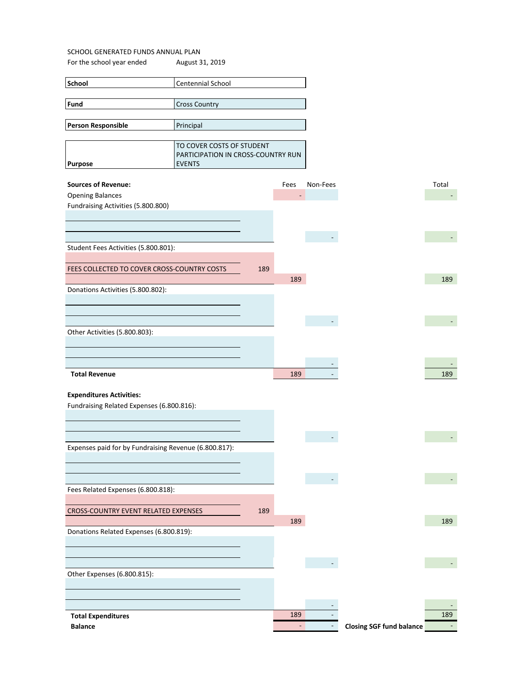For the school year ended August 31, 2019

| <b>School</b>                               | <b>Centennial School</b>                            |     |      |          |
|---------------------------------------------|-----------------------------------------------------|-----|------|----------|
|                                             |                                                     |     |      |          |
| Fund                                        | <b>Cross Country</b>                                |     |      |          |
|                                             |                                                     |     |      |          |
| Person Responsible                          | Principal                                           |     |      |          |
|                                             |                                                     |     |      |          |
|                                             | TO COVER COSTS OF STUDENT                           |     |      |          |
| <b>Purpose</b>                              | PARTICIPATION IN CROSS-COUNTRY RUN<br><b>EVENTS</b> |     |      |          |
|                                             |                                                     |     |      |          |
| <b>Sources of Revenue:</b>                  |                                                     |     | Fees | Non-Fees |
| <b>Opening Balances</b>                     |                                                     |     |      |          |
| Fundraising Activities (5.800.800)          |                                                     |     |      |          |
|                                             |                                                     |     |      |          |
|                                             |                                                     |     |      |          |
|                                             |                                                     |     |      |          |
| Student Fees Activities (5.800.801):        |                                                     |     |      |          |
|                                             |                                                     |     |      |          |
| FEES COLLECTED TO COVER CROSS-COUNTRY COSTS |                                                     | 189 |      |          |
|                                             |                                                     |     | 189  |          |
| Donations Activities (5.800.802):           |                                                     |     |      |          |
|                                             |                                                     |     |      |          |
|                                             |                                                     |     |      |          |
|                                             |                                                     |     |      |          |

|                               |     | - |     |
|-------------------------------|-----|---|-----|
| Other Activities (5.800.803): |     |   |     |
|                               |     |   |     |
|                               |     |   |     |
|                               |     |   |     |
| <b>Total Revenue</b>          | 189 | - | 189 |

### **Expenditures Activities:**

Fundraising Related Expenses (6.800.816):

| Expenses paid for by Fundraising Revenue (6.800.817): |     |     |                                 |  |
|-------------------------------------------------------|-----|-----|---------------------------------|--|
|                                                       |     |     |                                 |  |
|                                                       |     |     |                                 |  |
|                                                       |     |     |                                 |  |
|                                                       |     |     |                                 |  |
| Fees Related Expenses (6.800.818):                    |     |     |                                 |  |
|                                                       |     |     |                                 |  |
| <b>CROSS-COUNTRY EVENT RELATED EXPENSES</b>           | 189 |     |                                 |  |
|                                                       |     | 189 |                                 |  |
| Donations Related Expenses (6.800.819):               |     |     |                                 |  |
|                                                       |     |     |                                 |  |
|                                                       |     |     |                                 |  |
|                                                       |     |     |                                 |  |
|                                                       |     |     |                                 |  |
| Other Expenses (6.800.815):                           |     |     |                                 |  |
|                                                       |     |     |                                 |  |
|                                                       |     |     |                                 |  |
|                                                       |     |     |                                 |  |
| <b>Total Expenditures</b>                             |     | 189 |                                 |  |
| <b>Balance</b>                                        |     |     | <b>Closing SGF fund balance</b> |  |
|                                                       |     |     |                                 |  |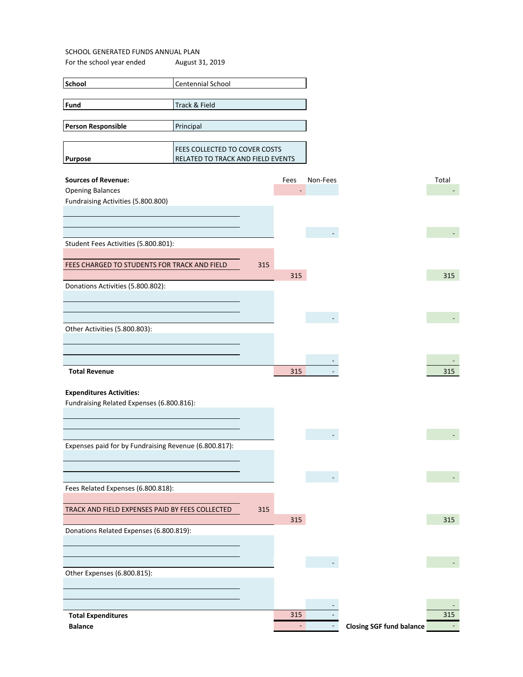| School                                                | Centennial School                 |     |      |          |                                 |       |
|-------------------------------------------------------|-----------------------------------|-----|------|----------|---------------------------------|-------|
|                                                       |                                   |     |      |          |                                 |       |
| Fund                                                  | Track & Field                     |     |      |          |                                 |       |
|                                                       |                                   |     |      |          |                                 |       |
| Person Responsible                                    | Principal                         |     |      |          |                                 |       |
|                                                       |                                   |     |      |          |                                 |       |
|                                                       | FEES COLLECTED TO COVER COSTS     |     |      |          |                                 |       |
| <b>Purpose</b>                                        | RELATED TO TRACK AND FIELD EVENTS |     |      |          |                                 |       |
|                                                       |                                   |     |      |          |                                 |       |
| <b>Sources of Revenue:</b>                            |                                   |     | Fees | Non-Fees |                                 | Total |
| <b>Opening Balances</b>                               |                                   |     | -    |          |                                 |       |
| Fundraising Activities (5.800.800)                    |                                   |     |      |          |                                 |       |
|                                                       |                                   |     |      |          |                                 |       |
|                                                       |                                   |     |      |          |                                 |       |
|                                                       |                                   |     |      |          |                                 |       |
| Student Fees Activities (5.800.801):                  |                                   |     |      |          |                                 |       |
|                                                       |                                   |     |      |          |                                 |       |
| FEES CHARGED TO STUDENTS FOR TRACK AND FIELD          |                                   | 315 |      |          |                                 |       |
|                                                       |                                   |     | 315  |          |                                 | 315   |
| Donations Activities (5.800.802):                     |                                   |     |      |          |                                 |       |
|                                                       |                                   |     |      |          |                                 |       |
|                                                       |                                   |     |      |          |                                 |       |
|                                                       |                                   |     |      |          |                                 |       |
| Other Activities (5.800.803):                         |                                   |     |      |          |                                 |       |
|                                                       |                                   |     |      |          |                                 |       |
|                                                       |                                   |     |      |          |                                 |       |
|                                                       |                                   |     |      |          |                                 |       |
| <b>Total Revenue</b>                                  |                                   |     | 315  |          |                                 | 315   |
|                                                       |                                   |     |      |          |                                 |       |
| <b>Expenditures Activities:</b>                       |                                   |     |      |          |                                 |       |
| Fundraising Related Expenses (6.800.816):             |                                   |     |      |          |                                 |       |
|                                                       |                                   |     |      |          |                                 |       |
|                                                       |                                   |     |      |          |                                 |       |
|                                                       |                                   |     |      |          |                                 |       |
|                                                       |                                   |     |      |          |                                 |       |
| Expenses paid for by Fundraising Revenue (6.800.817): |                                   |     |      |          |                                 |       |
|                                                       |                                   |     |      |          |                                 |       |
|                                                       |                                   |     |      |          |                                 |       |
|                                                       |                                   |     |      |          |                                 |       |
| Fees Related Expenses (6.800.818):                    |                                   |     |      |          |                                 |       |
|                                                       |                                   |     |      |          |                                 |       |
| TRACK AND FIELD EXPENSES PAID BY FEES COLLECTED       |                                   | 315 |      |          |                                 |       |
|                                                       |                                   |     | 315  |          |                                 | 315   |
| Donations Related Expenses (6.800.819):               |                                   |     |      |          |                                 |       |
|                                                       |                                   |     |      |          |                                 |       |
|                                                       |                                   |     |      |          |                                 |       |
|                                                       |                                   |     |      |          |                                 |       |
| Other Expenses (6.800.815):                           |                                   |     |      |          |                                 |       |
|                                                       |                                   |     |      |          |                                 |       |
|                                                       |                                   |     |      |          |                                 |       |
|                                                       |                                   |     |      |          |                                 |       |
| <b>Total Expenditures</b>                             |                                   |     | 315  |          |                                 | 315   |
| <b>Balance</b>                                        |                                   |     | ÷,   |          | <b>Closing SGF fund balance</b> |       |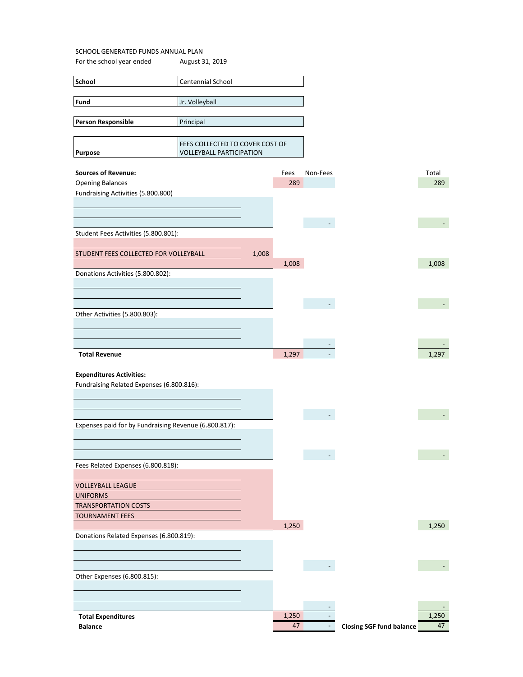| School                                                        | Centennial School                      |       |       |          |  |
|---------------------------------------------------------------|----------------------------------------|-------|-------|----------|--|
|                                                               |                                        |       |       |          |  |
| Fund                                                          | Jr. Volleyball                         |       |       |          |  |
|                                                               |                                        |       |       |          |  |
| <b>Person Responsible</b>                                     | Principal                              |       |       |          |  |
|                                                               |                                        |       |       |          |  |
|                                                               | <b>FEES COLLECTED TO COVER COST OF</b> |       |       |          |  |
| Purpose                                                       | <b>VOLLEYBALL PARTICIPATION</b>        |       |       |          |  |
| <b>Sources of Revenue:</b>                                    |                                        |       | Fees  | Non-Fees |  |
|                                                               |                                        |       | 289   |          |  |
| <b>Opening Balances</b><br>Fundraising Activities (5.800.800) |                                        |       |       |          |  |
|                                                               |                                        |       |       |          |  |
|                                                               |                                        |       |       |          |  |
|                                                               |                                        |       |       |          |  |
| Student Fees Activities (5.800.801):                          |                                        |       |       |          |  |
|                                                               |                                        |       |       |          |  |
| STUDENT FEES COLLECTED FOR VOLLEYBALL                         |                                        | 1,008 |       |          |  |
|                                                               |                                        |       | 1,008 |          |  |
| Donations Activities (5.800.802):                             |                                        |       |       |          |  |

| Fundraising Activities (5.800.800)<br>Student Fees Activities (5.800.801):<br>1,008<br>STUDENT FEES COLLECTED FOR VOLLEYBALL<br>1,008<br>1,008<br>Donations Activities (5.800.802):<br>Other Activities (5.800.803):<br>1,297<br>1,297<br><b>Total Revenue</b><br><b>Expenditures Activities:</b><br>Fundraising Related Expenses (6.800.816):<br>$\blacksquare$<br>Expenses paid for by Fundraising Revenue (6.800.817):<br>Fees Related Expenses (6.800.818):<br><b>VOLLEYBALL LEAGUE</b><br><b>UNIFORMS</b><br><b>TRANSPORTATION COSTS</b><br><b>TOURNAMENT FEES</b><br>1,250<br>1,250<br>Donations Related Expenses (6.800.819):<br>$\overline{\phantom{a}}$<br>Other Expenses (6.800.815):<br>1,250<br>1,250<br><b>Total Expenditures</b> | <b>Opening Balances</b> | 289             |        |                                 | 289 |
|------------------------------------------------------------------------------------------------------------------------------------------------------------------------------------------------------------------------------------------------------------------------------------------------------------------------------------------------------------------------------------------------------------------------------------------------------------------------------------------------------------------------------------------------------------------------------------------------------------------------------------------------------------------------------------------------------------------------------------------------|-------------------------|-----------------|--------|---------------------------------|-----|
|                                                                                                                                                                                                                                                                                                                                                                                                                                                                                                                                                                                                                                                                                                                                                |                         |                 |        |                                 |     |
|                                                                                                                                                                                                                                                                                                                                                                                                                                                                                                                                                                                                                                                                                                                                                |                         |                 |        |                                 |     |
|                                                                                                                                                                                                                                                                                                                                                                                                                                                                                                                                                                                                                                                                                                                                                |                         |                 |        |                                 |     |
|                                                                                                                                                                                                                                                                                                                                                                                                                                                                                                                                                                                                                                                                                                                                                |                         |                 |        |                                 |     |
|                                                                                                                                                                                                                                                                                                                                                                                                                                                                                                                                                                                                                                                                                                                                                |                         |                 |        |                                 |     |
|                                                                                                                                                                                                                                                                                                                                                                                                                                                                                                                                                                                                                                                                                                                                                |                         |                 |        |                                 |     |
|                                                                                                                                                                                                                                                                                                                                                                                                                                                                                                                                                                                                                                                                                                                                                |                         |                 |        |                                 |     |
|                                                                                                                                                                                                                                                                                                                                                                                                                                                                                                                                                                                                                                                                                                                                                |                         |                 |        |                                 |     |
|                                                                                                                                                                                                                                                                                                                                                                                                                                                                                                                                                                                                                                                                                                                                                |                         |                 |        |                                 |     |
|                                                                                                                                                                                                                                                                                                                                                                                                                                                                                                                                                                                                                                                                                                                                                |                         |                 |        |                                 |     |
|                                                                                                                                                                                                                                                                                                                                                                                                                                                                                                                                                                                                                                                                                                                                                |                         |                 |        |                                 |     |
|                                                                                                                                                                                                                                                                                                                                                                                                                                                                                                                                                                                                                                                                                                                                                |                         |                 |        |                                 |     |
|                                                                                                                                                                                                                                                                                                                                                                                                                                                                                                                                                                                                                                                                                                                                                |                         |                 |        |                                 |     |
|                                                                                                                                                                                                                                                                                                                                                                                                                                                                                                                                                                                                                                                                                                                                                |                         |                 |        |                                 |     |
|                                                                                                                                                                                                                                                                                                                                                                                                                                                                                                                                                                                                                                                                                                                                                |                         |                 |        |                                 |     |
|                                                                                                                                                                                                                                                                                                                                                                                                                                                                                                                                                                                                                                                                                                                                                |                         |                 |        |                                 |     |
|                                                                                                                                                                                                                                                                                                                                                                                                                                                                                                                                                                                                                                                                                                                                                |                         |                 |        |                                 |     |
|                                                                                                                                                                                                                                                                                                                                                                                                                                                                                                                                                                                                                                                                                                                                                |                         |                 |        |                                 |     |
|                                                                                                                                                                                                                                                                                                                                                                                                                                                                                                                                                                                                                                                                                                                                                |                         |                 |        |                                 |     |
|                                                                                                                                                                                                                                                                                                                                                                                                                                                                                                                                                                                                                                                                                                                                                |                         |                 |        |                                 |     |
|                                                                                                                                                                                                                                                                                                                                                                                                                                                                                                                                                                                                                                                                                                                                                |                         |                 |        |                                 |     |
|                                                                                                                                                                                                                                                                                                                                                                                                                                                                                                                                                                                                                                                                                                                                                |                         |                 |        |                                 |     |
|                                                                                                                                                                                                                                                                                                                                                                                                                                                                                                                                                                                                                                                                                                                                                |                         |                 |        |                                 |     |
|                                                                                                                                                                                                                                                                                                                                                                                                                                                                                                                                                                                                                                                                                                                                                |                         |                 |        |                                 |     |
|                                                                                                                                                                                                                                                                                                                                                                                                                                                                                                                                                                                                                                                                                                                                                |                         |                 |        |                                 |     |
|                                                                                                                                                                                                                                                                                                                                                                                                                                                                                                                                                                                                                                                                                                                                                |                         |                 |        |                                 |     |
|                                                                                                                                                                                                                                                                                                                                                                                                                                                                                                                                                                                                                                                                                                                                                |                         |                 |        |                                 |     |
|                                                                                                                                                                                                                                                                                                                                                                                                                                                                                                                                                                                                                                                                                                                                                |                         |                 |        |                                 |     |
|                                                                                                                                                                                                                                                                                                                                                                                                                                                                                                                                                                                                                                                                                                                                                |                         |                 |        |                                 |     |
|                                                                                                                                                                                                                                                                                                                                                                                                                                                                                                                                                                                                                                                                                                                                                |                         |                 |        |                                 |     |
|                                                                                                                                                                                                                                                                                                                                                                                                                                                                                                                                                                                                                                                                                                                                                |                         |                 |        |                                 |     |
|                                                                                                                                                                                                                                                                                                                                                                                                                                                                                                                                                                                                                                                                                                                                                |                         |                 |        |                                 |     |
|                                                                                                                                                                                                                                                                                                                                                                                                                                                                                                                                                                                                                                                                                                                                                |                         |                 |        |                                 |     |
|                                                                                                                                                                                                                                                                                                                                                                                                                                                                                                                                                                                                                                                                                                                                                |                         |                 |        |                                 |     |
|                                                                                                                                                                                                                                                                                                                                                                                                                                                                                                                                                                                                                                                                                                                                                |                         |                 |        |                                 |     |
|                                                                                                                                                                                                                                                                                                                                                                                                                                                                                                                                                                                                                                                                                                                                                |                         |                 |        |                                 |     |
|                                                                                                                                                                                                                                                                                                                                                                                                                                                                                                                                                                                                                                                                                                                                                |                         |                 |        |                                 |     |
|                                                                                                                                                                                                                                                                                                                                                                                                                                                                                                                                                                                                                                                                                                                                                |                         |                 |        |                                 |     |
|                                                                                                                                                                                                                                                                                                                                                                                                                                                                                                                                                                                                                                                                                                                                                |                         |                 |        |                                 |     |
|                                                                                                                                                                                                                                                                                                                                                                                                                                                                                                                                                                                                                                                                                                                                                |                         |                 |        |                                 |     |
|                                                                                                                                                                                                                                                                                                                                                                                                                                                                                                                                                                                                                                                                                                                                                |                         |                 |        |                                 |     |
|                                                                                                                                                                                                                                                                                                                                                                                                                                                                                                                                                                                                                                                                                                                                                |                         |                 |        |                                 |     |
|                                                                                                                                                                                                                                                                                                                                                                                                                                                                                                                                                                                                                                                                                                                                                |                         |                 |        |                                 |     |
|                                                                                                                                                                                                                                                                                                                                                                                                                                                                                                                                                                                                                                                                                                                                                | <b>Balance</b>          | $\overline{47}$ | $\sim$ | <b>Closing SGF fund balance</b> | 47  |